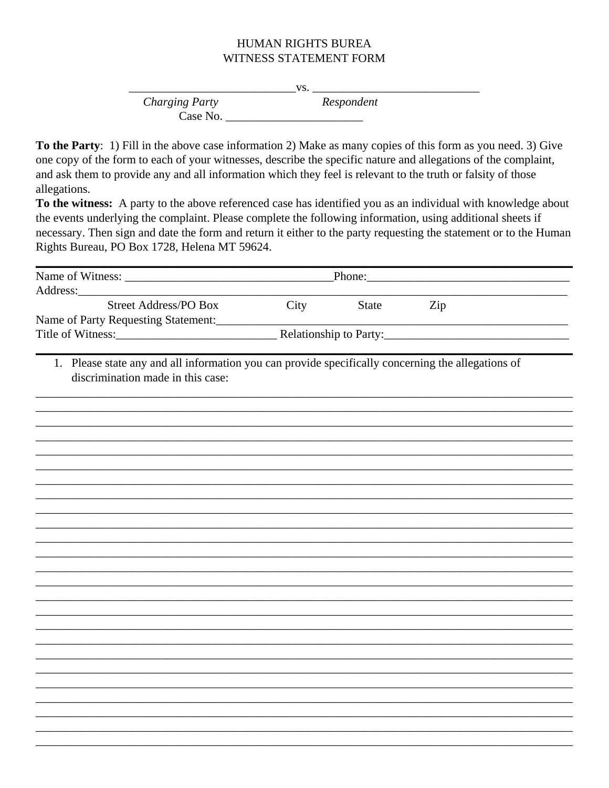## **HUMAN RIGHTS BUREA** WITNESS STATEMENT FORM

|                       | VS.        |  |
|-----------------------|------------|--|
| <b>Charging Party</b> | Respondent |  |
| Case No.              |            |  |

To the Party: 1) Fill in the above case information 2) Make as many copies of this form as you need. 3) Give one copy of the form to each of your witnesses, describe the specific nature and allegations of the complaint, and ask them to provide any and all information which they feel is relevant to the truth or falsity of those allegations.

To the witness: A party to the above referenced case has identified you as an individual with knowledge about the events underlying the complaint. Please complete the following information, using additional sheets if necessary. Then sign and date the form and return it either to the party requesting the statement or to the Human Rights Bureau, PO Box 1728, Helena MT 59624.

| <b>Street Address/PO Box</b><br>City<br>State<br>Zip<br>Name of Party Requesting Statement:<br>1. Please state any and all information you can provide specifically concerning the allegations of<br>discrimination made in this case: |          | Phone: |  |  |  |  |  |  |  |
|----------------------------------------------------------------------------------------------------------------------------------------------------------------------------------------------------------------------------------------|----------|--------|--|--|--|--|--|--|--|
|                                                                                                                                                                                                                                        | Address: |        |  |  |  |  |  |  |  |
|                                                                                                                                                                                                                                        |          |        |  |  |  |  |  |  |  |
|                                                                                                                                                                                                                                        |          |        |  |  |  |  |  |  |  |
|                                                                                                                                                                                                                                        |          |        |  |  |  |  |  |  |  |
|                                                                                                                                                                                                                                        |          |        |  |  |  |  |  |  |  |
|                                                                                                                                                                                                                                        |          |        |  |  |  |  |  |  |  |
|                                                                                                                                                                                                                                        |          |        |  |  |  |  |  |  |  |
|                                                                                                                                                                                                                                        |          |        |  |  |  |  |  |  |  |
|                                                                                                                                                                                                                                        |          |        |  |  |  |  |  |  |  |
|                                                                                                                                                                                                                                        |          |        |  |  |  |  |  |  |  |
|                                                                                                                                                                                                                                        |          |        |  |  |  |  |  |  |  |
|                                                                                                                                                                                                                                        |          |        |  |  |  |  |  |  |  |
|                                                                                                                                                                                                                                        |          |        |  |  |  |  |  |  |  |
|                                                                                                                                                                                                                                        |          |        |  |  |  |  |  |  |  |
|                                                                                                                                                                                                                                        |          |        |  |  |  |  |  |  |  |
|                                                                                                                                                                                                                                        |          |        |  |  |  |  |  |  |  |
|                                                                                                                                                                                                                                        |          |        |  |  |  |  |  |  |  |
|                                                                                                                                                                                                                                        |          |        |  |  |  |  |  |  |  |
|                                                                                                                                                                                                                                        |          |        |  |  |  |  |  |  |  |
|                                                                                                                                                                                                                                        |          |        |  |  |  |  |  |  |  |
|                                                                                                                                                                                                                                        |          |        |  |  |  |  |  |  |  |
|                                                                                                                                                                                                                                        |          |        |  |  |  |  |  |  |  |
|                                                                                                                                                                                                                                        |          |        |  |  |  |  |  |  |  |
|                                                                                                                                                                                                                                        |          |        |  |  |  |  |  |  |  |
|                                                                                                                                                                                                                                        |          |        |  |  |  |  |  |  |  |
|                                                                                                                                                                                                                                        |          |        |  |  |  |  |  |  |  |
|                                                                                                                                                                                                                                        |          |        |  |  |  |  |  |  |  |
|                                                                                                                                                                                                                                        |          |        |  |  |  |  |  |  |  |
|                                                                                                                                                                                                                                        |          |        |  |  |  |  |  |  |  |
|                                                                                                                                                                                                                                        |          |        |  |  |  |  |  |  |  |
|                                                                                                                                                                                                                                        |          |        |  |  |  |  |  |  |  |
|                                                                                                                                                                                                                                        |          |        |  |  |  |  |  |  |  |